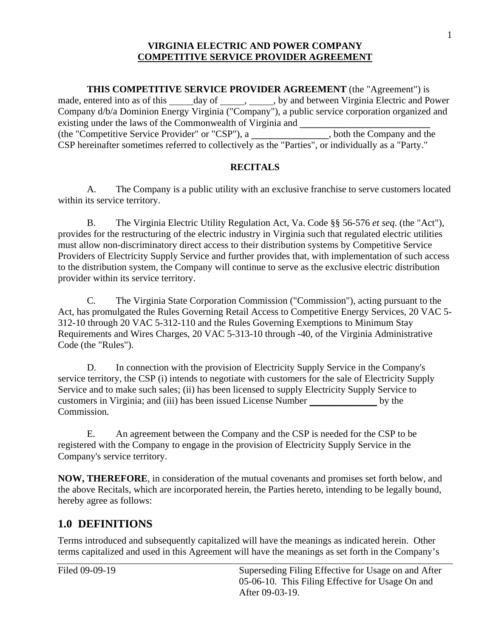**THIS COMPETITIVE SERVICE PROVIDER AGREEMENT** (the "Agreement") is made, entered into as of this \_\_\_\_\_ day of \_\_\_\_\_\_, \_\_\_\_\_, by and between Virginia Electric and Power (the "Competitive Service Provider" or "CSP"), a **\_\_\_\_\_\_\_\_\_\_\_\_\_\_\_\_**, both the Company and the Company d/b/a Dominion Energy Virginia ("Company"), a public service corporation organized and existing under the laws of the Commonwealth of Virginia and CSP hereinafter sometimes referred to collectively as the "Parties", or individually as a "Party."

### **RECITALS**

A. The Company is a public utility with an exclusive franchise to serve customers located within its service territory.

B. The Virginia Electric Utility Regulation Act, Va. Code §§ 56-576 *et seq*. (the "Act"), provides for the restructuring of the electric industry in Virginia such that regulated electric utilities must allow non-discriminatory direct access to their distribution systems by Competitive Service Providers of Electricity Supply Service and further provides that, with implementation of such access to the distribution system, the Company will continue to serve as the exclusive electric distribution provider within its service territory.

C. The Virginia State Corporation Commission ("Commission"), acting pursuant to the Act, has promulgated the Rules Governing Retail Access to Competitive Energy Services, 20 VAC 5- 312-10 through 20 VAC 5-312-110 and the Rules Governing Exemptions to Minimum Stay Requirements and Wires Charges, 20 VAC 5-313-10 through -40, of the Virginia Administrative Code (the "Rules").

by the D. In connection with the provision of Electricity Supply Service in the Company's service territory, the CSP (i) intends to negotiate with customers for the sale of Electricity Supply Service and to make such sales; (ii) has been licensed to supply Electricity Supply Service to customers in Virginia; and (iii) has been issued License Number Commission.

E. An agreement between the Company and the CSP is needed for the CSP to be registered with the Company to engage in the provision of Electricity Supply Service in the Company's service territory.

**NOW, THEREFORE**, in consideration of the mutual covenants and promises set forth below, and the above Recitals, which are incorporated herein, the Parties hereto, intending to be legally bound, hereby agree as follows:

# **1.0 DEFINITIONS**

 Terms introduced and subsequently capitalized will have the meanings as indicated herein. Other terms capitalized and used in this Agreement will have the meanings as set forth in the Company's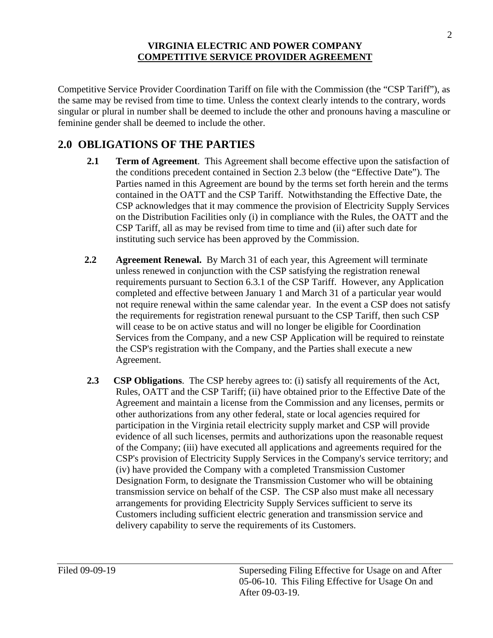Competitive Service Provider Coordination Tariff on file with the Commission (the "CSP Tariff"), as the same may be revised from time to time. Unless the context clearly intends to the contrary, words singular or plural in number shall be deemed to include the other and pronouns having a masculine or feminine gender shall be deemed to include the other.

# **2.0 OBLIGATIONS OF THE PARTIES**

- **2.1 Term of Agreement**. This Agreement shall become effective upon the satisfaction of Parties named in this Agreement are bound by the terms set forth herein and the terms CSP Tariff, all as may be revised from time to time and (ii) after such date for the conditions precedent contained in Section 2.3 below (the "Effective Date"). The contained in the OATT and the CSP Tariff. Notwithstanding the Effective Date, the CSP acknowledges that it may commence the provision of Electricity Supply Services on the Distribution Facilities only (i) in compliance with the Rules, the OATT and the instituting such service has been approved by the Commission.
- completed and effective between January 1 and March 31 of a particular year would **2.2 Agreement Renewal.** By March 31 of each year, this Agreement will terminate unless renewed in conjunction with the CSP satisfying the registration renewal requirements pursuant to Section 6.3.1 of the CSP Tariff. However, any Application not require renewal within the same calendar year. In the event a CSP does not satisfy the requirements for registration renewal pursuant to the CSP Tariff, then such CSP will cease to be on active status and will no longer be eligible for Coordination Services from the Company, and a new CSP Application will be required to reinstate the CSP's registration with the Company, and the Parties shall execute a new Agreement.
- **2.3 CSP Obligations**. The CSP hereby agrees to: (i) satisfy all requirements of the Act, Rules, OATT and the CSP Tariff; (ii) have obtained prior to the Effective Date of the Agreement and maintain a license from the Commission and any licenses, permits or other authorizations from any other federal, state or local agencies required for participation in the Virginia retail electricity supply market and CSP will provide evidence of all such licenses, permits and authorizations upon the reasonable request of the Company; (iii) have executed all applications and agreements required for the CSP's provision of Electricity Supply Services in the Company's service territory; and (iv) have provided the Company with a completed Transmission Customer Designation Form, to designate the Transmission Customer who will be obtaining transmission service on behalf of the CSP. The CSP also must make all necessary arrangements for providing Electricity Supply Services sufficient to serve its Customers including sufficient electric generation and transmission service and delivery capability to serve the requirements of its Customers.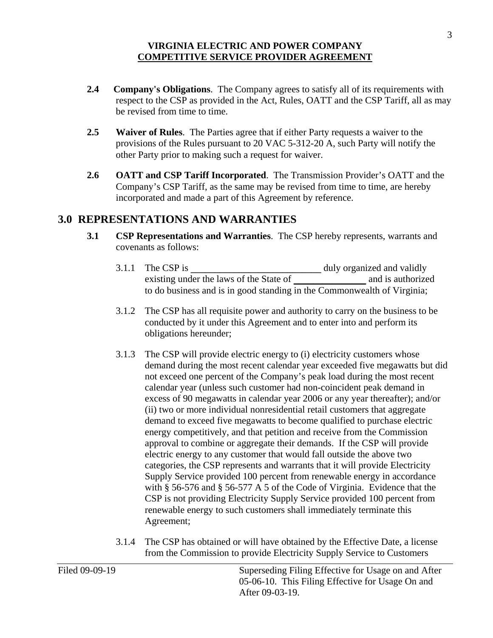- **2.4 Company's Obligations**. The Company agrees to satisfy all of its requirements with respect to the CSP as provided in the Act, Rules, OATT and the CSP Tariff, all as may be revised from time to time.
- **2.5 Waiver of Rules**. The Parties agree that if either Party requests a waiver to the provisions of the Rules pursuant to 20 VAC 5-312-20 A, such Party will notify the other Party prior to making such a request for waiver.
- **2.6 OATT and CSP Tariff Incorporated**. The Transmission Provider's OATT and the Company's CSP Tariff, as the same may be revised from time to time, are hereby incorporated and made a part of this Agreement by reference.

## **3.0 REPRESENTATIONS AND WARRANTIES**

- **3.1 CSP Representations and Warranties**. The CSP hereby represents, warrants and covenants as follows:
	- 3.1.1 The CSP is **\_\_\_\_\_\_\_\_\_\_\_\_\_\_\_\_\_\_\_\_\_\_\_\_\_\_\_** duly organized and validly existing under the laws of the State of **a** and is authorized to do business and is in good standing in the Commonwealth of Virginia;
	- 3.1.2 The CSP has all requisite power and authority to carry on the business to be conducted by it under this Agreement and to enter into and perform its obligations hereunder;
	- (ii) two or more individual nonresidential retail customers that aggregate approval to combine or aggregate their demands. If the CSP will provide 3.1.3 The CSP will provide electric energy to (i) electricity customers whose demand during the most recent calendar year exceeded five megawatts but did not exceed one percent of the Company's peak load during the most recent calendar year (unless such customer had non-coincident peak demand in excess of 90 megawatts in calendar year 2006 or any year thereafter); and/or demand to exceed five megawatts to become qualified to purchase electric energy competitively, and that petition and receive from the Commission electric energy to any customer that would fall outside the above two categories, the CSP represents and warrants that it will provide Electricity Supply Service provided 100 percent from renewable energy in accordance with § 56-576 and § 56-577 A 5 of the Code of Virginia. Evidence that the CSP is not providing Electricity Supply Service provided 100 percent from renewable energy to such customers shall immediately terminate this Agreement;
	- 3.1.4 The CSP has obtained or will have obtained by the Effective Date, a license from the Commission to provide Electricity Supply Service to Customers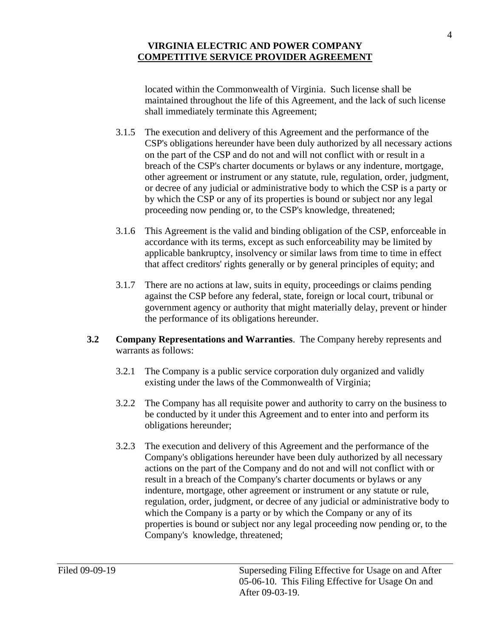located within the Commonwealth of Virginia. Such license shall be maintained throughout the life of this Agreement, and the lack of such license shall immediately terminate this Agreement;

- 3.1.5 The execution and delivery of this Agreement and the performance of the CSP's obligations hereunder have been duly authorized by all necessary actions on the part of the CSP and do not and will not conflict with or result in a breach of the CSP's charter documents or bylaws or any indenture, mortgage, other agreement or instrument or any statute, rule, regulation, order, judgment, or decree of any judicial or administrative body to which the CSP is a party or by which the CSP or any of its properties is bound or subject nor any legal proceeding now pending or, to the CSP's knowledge, threatened;
- accordance with its terms, except as such enforceability may be limited by 3.1.6 This Agreement is the valid and binding obligation of the CSP, enforceable in applicable bankruptcy, insolvency or similar laws from time to time in effect that affect creditors' rights generally or by general principles of equity; and
- against the CSP before any federal, state, foreign or local court, tribunal or government agency or authority that might materially delay, prevent or hinder 3.1.7 There are no actions at law, suits in equity, proceedings or claims pending the performance of its obligations hereunder.
- **3.2 Company Representations and Warranties**. The Company hereby represents and warrants as follows:
	- 3.2.1 The Company is a public service corporation duly organized and validly existing under the laws of the Commonwealth of Virginia;
	- 3.2.2 The Company has all requisite power and authority to carry on the business to be conducted by it under this Agreement and to enter into and perform its obligations hereunder;
	- Company's obligations hereunder have been duly authorized by all necessary Company's knowledge, threatened; 3.2.3 The execution and delivery of this Agreement and the performance of the actions on the part of the Company and do not and will not conflict with or result in a breach of the Company's charter documents or bylaws or any indenture, mortgage, other agreement or instrument or any statute or rule, regulation, order, judgment, or decree of any judicial or administrative body to which the Company is a party or by which the Company or any of its properties is bound or subject nor any legal proceeding now pending or, to the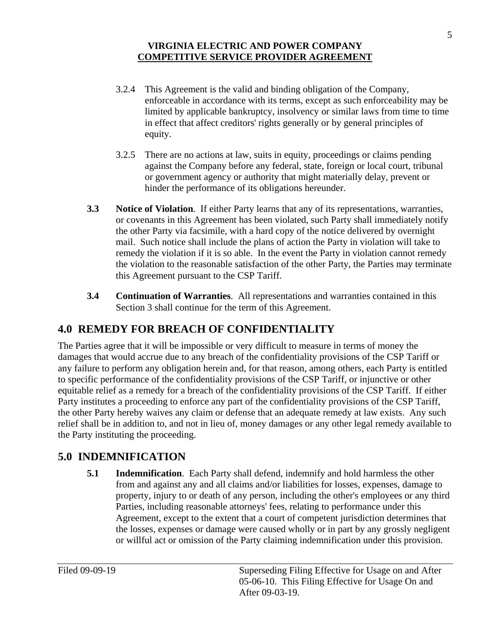- 3.2.4 This Agreement is the valid and binding obligation of the Company, enforceable in accordance with its terms, except as such enforceability may be limited by applicable bankruptcy, insolvency or similar laws from time to time in effect that affect creditors' rights generally or by general principles of equity.
- 3.2.5 There are no actions at law, suits in equity, proceedings or claims pending against the Company before any federal, state, foreign or local court, tribunal or government agency or authority that might materially delay, prevent or hinder the performance of its obligations hereunder.
- **3.3 Notice of Violation**. If either Party learns that any of its representations, warranties, remedy the violation if it is so able. In the event the Party in violation cannot remedy or covenants in this Agreement has been violated, such Party shall immediately notify the other Party via facsimile, with a hard copy of the notice delivered by overnight mail. Such notice shall include the plans of action the Party in violation will take to the violation to the reasonable satisfaction of the other Party, the Parties may terminate this Agreement pursuant to the CSP Tariff.
- **3.4 Continuation of Warranties**. All representations and warranties contained in this Section 3 shall continue for the term of this Agreement.

# **4.0 REMEDY FOR BREACH OF CONFIDENTIALITY**

 The Parties agree that it will be impossible or very difficult to measure in terms of money the equitable relief as a remedy for a breach of the confidentiality provisions of the CSP Tariff. If either damages that would accrue due to any breach of the confidentiality provisions of the CSP Tariff or any failure to perform any obligation herein and, for that reason, among others, each Party is entitled to specific performance of the confidentiality provisions of the CSP Tariff, or injunctive or other Party institutes a proceeding to enforce any part of the confidentiality provisions of the CSP Tariff, the other Party hereby waives any claim or defense that an adequate remedy at law exists. Any such relief shall be in addition to, and not in lieu of, money damages or any other legal remedy available to the Party instituting the proceeding.

# **5.0 INDEMNIFICATION**

 **5.1 Indemnification**. Each Party shall defend, indemnify and hold harmless the other Agreement, except to the extent that a court of competent jurisdiction determines that from and against any and all claims and/or liabilities for losses, expenses, damage to property, injury to or death of any person, including the other's employees or any third Parties, including reasonable attorneys' fees, relating to performance under this the losses, expenses or damage were caused wholly or in part by any grossly negligent or willful act or omission of the Party claiming indemnification under this provision.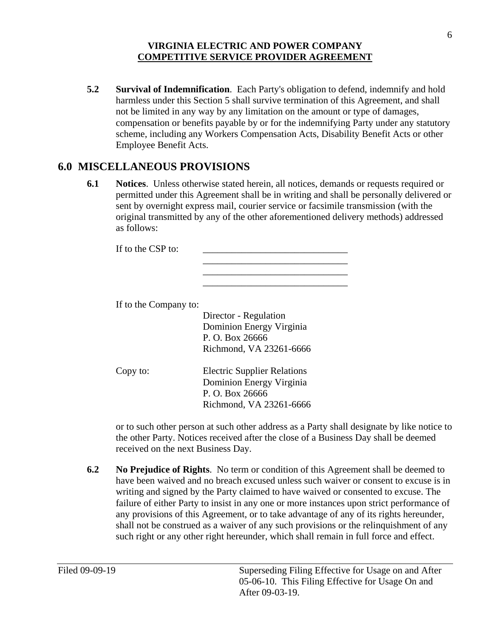**5.2 Survival of Indemnification**. Each Party's obligation to defend, indemnify and hold harmless under this Section 5 shall survive termination of this Agreement, and shall not be limited in any way by any limitation on the amount or type of damages, compensation or benefits payable by or for the indemnifying Party under any statutory scheme, including any Workers Compensation Acts, Disability Benefit Acts or other Employee Benefit Acts.

# **6.0 MISCELLANEOUS PROVISIONS**

 **6.1 Notices**. Unless otherwise stated herein, all notices, demands or requests required or permitted under this Agreement shall be in writing and shall be personally delivered or sent by overnight express mail, courier service or facsimile transmission (with the original transmitted by any of the other aforementioned delivery methods) addressed as follows:

> \_\_\_\_\_\_\_\_\_\_\_\_\_\_\_\_\_\_\_\_\_\_\_\_\_\_\_\_\_\_ \_\_\_\_\_\_\_\_\_\_\_\_\_\_\_\_\_\_\_\_\_\_\_\_\_\_\_\_\_\_ \_\_\_\_\_\_\_\_\_\_\_\_\_\_\_\_\_\_\_\_\_\_\_\_\_\_\_\_\_\_

If to the CSP to:

If to the Company to:

Copy to:

| Director - Regulation<br>Dominion Energy Virginia<br>P. O. Box 26666<br>Richmond, VA 23261-6666 |
|-------------------------------------------------------------------------------------------------|
| <b>Electric Supplier Relations</b><br>$\blacksquare$                                            |

 Dominion Energy Virginia P. O. Box 26666 Richmond, VA 23261-6666

or to such other person at such other address as a Party shall designate by like notice to the other Party. Notices received after the close of a Business Day shall be deemed received on the next Business Day.

**6.2** No Prejudice of Rights. No term or condition of this Agreement shall be deemed to have been waived and no breach excused unless such waiver or consent to excuse is in failure of either Party to insist in any one or more instances upon strict performance of writing and signed by the Party claimed to have waived or consented to excuse. The any provisions of this Agreement, or to take advantage of any of its rights hereunder, shall not be construed as a waiver of any such provisions or the relinquishment of any such right or any other right hereunder, which shall remain in full force and effect.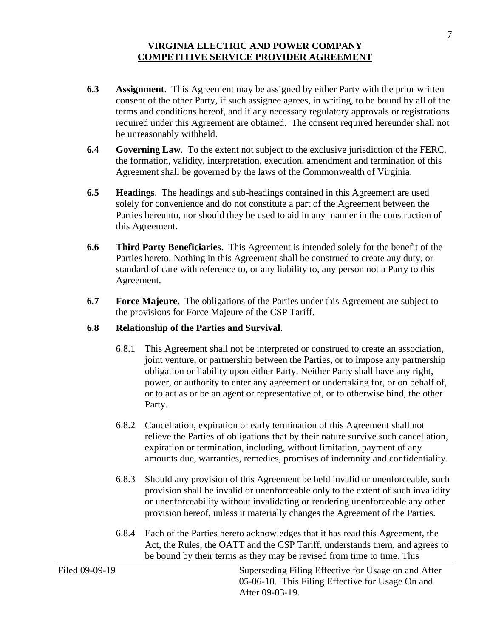- **6.3** Assignment. This Agreement may be assigned by either Party with the prior written consent of the other Party, if such assignee agrees, in writing, to be bound by all of the terms and conditions hereof, and if any necessary regulatory approvals or registrations required under this Agreement are obtained. The consent required hereunder shall not be unreasonably withheld.
- **6.4** Governing Law. To the extent not subject to the exclusive jurisdiction of the FERC, the formation, validity, interpretation, execution, amendment and termination of this Agreement shall be governed by the laws of the Commonwealth of Virginia.
- **6.5 Headings**. The headings and sub-headings contained in this Agreement are used solely for convenience and do not constitute a part of the Agreement between the Parties hereunto, nor should they be used to aid in any manner in the construction of this Agreement.
- **6.6 Third Party Beneficiaries**. This Agreement is intended solely for the benefit of the Parties hereto. Nothing in this Agreement shall be construed to create any duty, or standard of care with reference to, or any liability to, any person not a Party to this Agreement.
- **6.7** Force Majeure. The obligations of the Parties under this Agreement are subject to the provisions for Force Majeure of the CSP Tariff.

## **6.8 Relationship of the Parties and Survival**.

- 6.8.1 This Agreement shall not be interpreted or construed to create an association, joint venture, or partnership between the Parties, or to impose any partnership obligation or liability upon either Party. Neither Party shall have any right, power, or authority to enter any agreement or undertaking for, or on behalf of, or to act as or be an agent or representative of, or to otherwise bind, the other Party.
- 6.8.2 Cancellation, expiration or early termination of this Agreement shall not relieve the Parties of obligations that by their nature survive such cancellation, expiration or termination, including, without limitation, payment of any amounts due, warranties, remedies, promises of indemnity and confidentiality.
- 6.8.3 Should any provision of this Agreement be held invalid or unenforceable, such provision shall be invalid or unenforceable only to the extent of such invalidity or unenforceability without invalidating or rendering unenforceable any other provision hereof, unless it materially changes the Agreement of the Parties.
- 6.8.4 Each of the Parties hereto acknowledges that it has read this Agreement, the Act, the Rules, the OATT and the CSP Tariff, understands them, and agrees to be bound by their terms as they may be revised from time to time. This